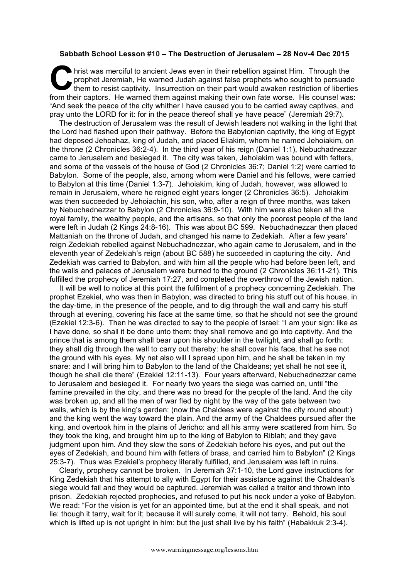## **Sabbath School Lesson #10 – The Destruction of Jerusalem – 28 Nov-4 Dec 2015**

hrist was merciful to ancient Jews even in their rebellion against Him. Through the prophet Jeremiah, He warned Judah against false prophets who sought to persuade hrist was merciful to ancient Jews even in their rebellion against Him. Through the<br>prophet Jeremiah, He warned Judah against false prophets who sought to persuade<br>them to resist captivity. Insurrection on their part would from their captors. He warned them against making their own fate worse. His counsel was: "And seek the peace of the city whither I have caused you to be carried away captives, and pray unto the LORD for it: for in the peace thereof shall ye have peace" (Jeremiah 29:7).

The destruction of Jerusalem was the result of Jewish leaders not walking in the light that the Lord had flashed upon their pathway. Before the Babylonian captivity, the king of Egypt had deposed Jehoahaz, king of Judah, and placed Eliakim, whom he named Jehoiakim, on the throne (2 Chronicles 36:2-4). In the third year of his reign (Daniel 1:1), Nebuchadnezzar came to Jerusalem and besieged it. The city was taken, Jehoiakim was bound with fetters, and some of the vessels of the house of God (2 Chronicles 36:7; Daniel 1:2) were carried to Babylon. Some of the people, also, among whom were Daniel and his fellows, were carried to Babylon at this time (Daniel 1:3-7). Jehoiakim, king of Judah, however, was allowed to remain in Jerusalem, where he reigned eight years longer (2 Chronicles 36:5). Jehoiakim was then succeeded by Jehoiachin, his son, who, after a reign of three months, was taken by Nebuchadnezzar to Babylon (2 Chronicles 36:9-10). With him were also taken all the royal family, the wealthy people, and the artisans, so that only the poorest people of the land were left in Judah (2 Kings 24:8-16). This was about BC 599. Nebuchadnezzar then placed Mattaniah on the throne of Judah, and changed his name to Zedekiah. After a few years' reign Zedekiah rebelled against Nebuchadnezzar, who again came to Jerusalem, and in the eleventh year of Zedekiah's reign (about BC 588) he succeeded in capturing the city. And Zedekiah was carried to Babylon, and with him all the people who had before been left, and the walls and palaces of Jerusalem were burned to the ground (2 Chronicles 36:11-21). This fulfilled the prophecy of Jeremiah 17:27, and completed the overthrow of the Jewish nation.

It will be well to notice at this point the fulfilment of a prophecy concerning Zedekiah. The prophet Ezekiel, who was then in Babylon, was directed to bring his stuff out of his house, in the day-time, in the presence of the people, and to dig through the wall and carry his stuff through at evening, covering his face at the same time, so that he should not see the ground (Ezekiel 12:3-6). Then he was directed to say to the people of Israel: "I am your sign: like as I have done, so shall it be done unto them: they shall remove and go into captivity. And the prince that is among them shall bear upon his shoulder in the twilight, and shall go forth: they shall dig through the wall to carry out thereby: he shall cover his face, that he see not the ground with his eyes. My net also will I spread upon him, and he shall be taken in my snare: and I will bring him to Babylon to the land of the Chaldeans; yet shall he not see it, though he shall die there" (Ezekiel 12:11-13). Four years afterward, Nebuchadnezzar came to Jerusalem and besieged it. For nearly two years the siege was carried on, until "the famine prevailed in the city, and there was no bread for the people of the land. And the city was broken up, and all the men of war fled by night by the way of the gate between two walls, which is by the king's garden: (now the Chaldees were against the city round about:) and the king went the way toward the plain. And the army of the Chaldees pursued after the king, and overtook him in the plains of Jericho: and all his army were scattered from him. So they took the king, and brought him up to the king of Babylon to Riblah; and they gave judgment upon him. And they slew the sons of Zedekiah before his eyes, and put out the eyes of Zedekiah, and bound him with fetters of brass, and carried him to Babylon" (2 Kings 25:3-7). Thus was Ezekiel's prophecy literally fulfilled, and Jerusalem was left in ruins.

Clearly, prophecy cannot be broken. In Jeremiah 37:1-10, the Lord gave instructions for King Zedekiah that his attempt to ally with Egypt for their assistance against the Chaldean's siege would fail and they would be captured. Jeremiah was called a traitor and thrown into prison. Zedekiah rejected prophecies, and refused to put his neck under a yoke of Babylon. We read: "For the vision is yet for an appointed time, but at the end it shall speak, and not lie: though it tarry, wait for it; because it will surely come, it will not tarry. Behold, his soul which is lifted up is not upright in him: but the just shall live by his faith" (Habakkuk 2:3-4).